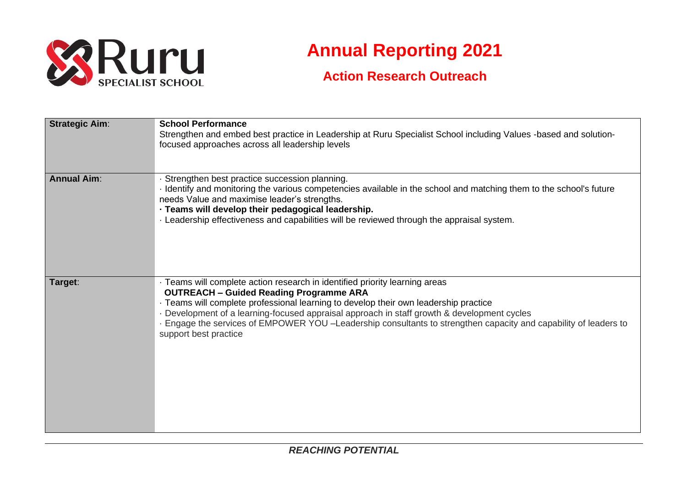

# **Annual Reporting 2021**

# **Action Research Outreach**

| <b>Strategic Aim:</b> | <b>School Performance</b><br>Strengthen and embed best practice in Leadership at Ruru Specialist School including Values -based and solution-<br>focused approaches across all leadership levels                                                                                                                                                                                                                                                                |
|-----------------------|-----------------------------------------------------------------------------------------------------------------------------------------------------------------------------------------------------------------------------------------------------------------------------------------------------------------------------------------------------------------------------------------------------------------------------------------------------------------|
| <b>Annual Aim:</b>    | · Strengthen best practice succession planning.<br>I dentify and monitoring the various competencies available in the school and matching them to the school's future<br>needs Value and maximise leader's strengths.<br>- Teams will develop their pedagogical leadership.<br>. Leadership effectiveness and capabilities will be reviewed through the appraisal system.                                                                                       |
| Target:               | · Teams will complete action research in identified priority learning areas<br><b>OUTREACH - Guided Reading Programme ARA</b><br>· Teams will complete professional learning to develop their own leadership practice<br>Development of a learning-focused appraisal approach in staff growth & development cycles<br>- Engage the services of EMPOWER YOU -Leadership consultants to strengthen capacity and capability of leaders to<br>support best practice |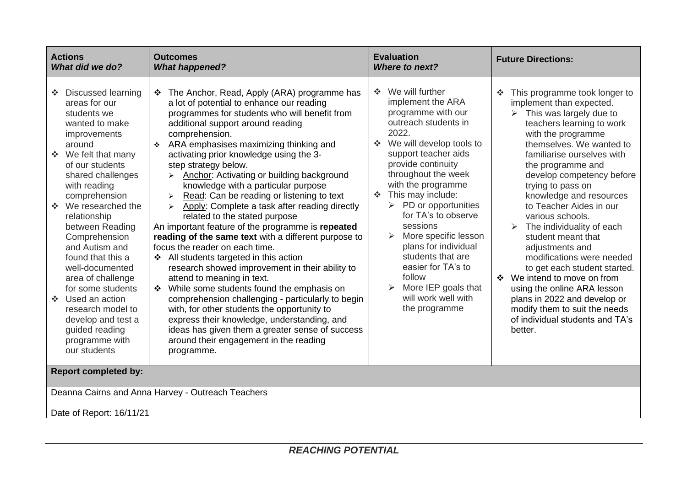| <b>Actions</b><br>What did we do?                                                                                                                                                                                                                                                                                                                                                                                                                                                                              | <b>Outcomes</b><br><b>What happened?</b>                                                                                                                                                                                                                                                                                                                                                                                                                                                                                                                                                                                                                                                                                                                                                                                                                                                                                                                                                                                                                                                                                                                                                               | <b>Evaluation</b><br>Where to next?                                                                                                                                                                                                                                                                                                                                                                                                                                                                                                            | <b>Future Directions:</b>                                                                                                                                                                                                                                                                                                                                                                                                                                                                                                                                                                                                                                                                                               |  |  |  |  |  |
|----------------------------------------------------------------------------------------------------------------------------------------------------------------------------------------------------------------------------------------------------------------------------------------------------------------------------------------------------------------------------------------------------------------------------------------------------------------------------------------------------------------|--------------------------------------------------------------------------------------------------------------------------------------------------------------------------------------------------------------------------------------------------------------------------------------------------------------------------------------------------------------------------------------------------------------------------------------------------------------------------------------------------------------------------------------------------------------------------------------------------------------------------------------------------------------------------------------------------------------------------------------------------------------------------------------------------------------------------------------------------------------------------------------------------------------------------------------------------------------------------------------------------------------------------------------------------------------------------------------------------------------------------------------------------------------------------------------------------------|------------------------------------------------------------------------------------------------------------------------------------------------------------------------------------------------------------------------------------------------------------------------------------------------------------------------------------------------------------------------------------------------------------------------------------------------------------------------------------------------------------------------------------------------|-------------------------------------------------------------------------------------------------------------------------------------------------------------------------------------------------------------------------------------------------------------------------------------------------------------------------------------------------------------------------------------------------------------------------------------------------------------------------------------------------------------------------------------------------------------------------------------------------------------------------------------------------------------------------------------------------------------------------|--|--|--|--|--|
| Discussed learning<br><b>AND</b><br>areas for our<br>students we<br>wanted to make<br>improvements<br>around<br>❖ We felt that many<br>of our students<br>shared challenges<br>with reading<br>comprehension<br>❖ We researched the<br>relationship<br>between Reading<br>Comprehension<br>and Autism and<br>found that this a<br>well-documented<br>area of challenge<br>for some students<br>❖ Used an action<br>research model to<br>develop and test a<br>guided reading<br>programme with<br>our students | ❖ The Anchor, Read, Apply (ARA) programme has<br>a lot of potential to enhance our reading<br>programmes for students who will benefit from<br>additional support around reading<br>comprehension.<br>❖ ARA emphasises maximizing thinking and<br>activating prior knowledge using the 3-<br>step strategy below.<br>Anchor: Activating or building background<br>$\blacktriangleright$<br>knowledge with a particular purpose<br>Read: Can be reading or listening to text<br>$\blacktriangleright$<br>Apply: Complete a task after reading directly<br>$\blacktriangleright$<br>related to the stated purpose<br>An important feature of the programme is repeated<br>reading of the same text with a different purpose to<br>focus the reader on each time.<br>❖ All students targeted in this action<br>research showed improvement in their ability to<br>attend to meaning in text.<br>❖ While some students found the emphasis on<br>comprehension challenging - particularly to begin<br>with, for other students the opportunity to<br>express their knowledge, understanding, and<br>ideas has given them a greater sense of success<br>around their engagement in the reading<br>programme. | We will further<br>$\mathcal{L}_{\mathcal{C}}$<br>implement the ARA<br>programme with our<br>outreach students in<br>2022.<br>We will develop tools to<br>A.<br>support teacher aids<br>provide continuity<br>throughout the week<br>with the programme<br>This may include:<br>$\mathcal{L}_{\mathcal{C}}$<br>PD or opportunities<br>➤<br>for TA's to observe<br>sessions<br>More specific lesson<br>plans for individual<br>students that are<br>easier for TA's to<br>follow<br>More IEP goals that<br>will work well with<br>the programme | This programme took longer to<br>$\mathcal{L}_{\mathcal{S}}$<br>implement than expected.<br>This was largely due to<br>≻<br>teachers learning to work<br>with the programme<br>themselves. We wanted to<br>familiarise ourselves with<br>the programme and<br>develop competency before<br>trying to pass on<br>knowledge and resources<br>to Teacher Aides in our<br>various schools.<br>$\triangleright$ The individuality of each<br>student meant that<br>adjustments and<br>modifications were needed<br>to get each student started.<br>❖ We intend to move on from<br>using the online ARA lesson<br>plans in 2022 and develop or<br>modify them to suit the needs<br>of individual students and TA's<br>better. |  |  |  |  |  |
| <b>Report completed by:</b>                                                                                                                                                                                                                                                                                                                                                                                                                                                                                    |                                                                                                                                                                                                                                                                                                                                                                                                                                                                                                                                                                                                                                                                                                                                                                                                                                                                                                                                                                                                                                                                                                                                                                                                        |                                                                                                                                                                                                                                                                                                                                                                                                                                                                                                                                                |                                                                                                                                                                                                                                                                                                                                                                                                                                                                                                                                                                                                                                                                                                                         |  |  |  |  |  |
| Deanna Cairns and Anna Harvey - Outreach Teachers                                                                                                                                                                                                                                                                                                                                                                                                                                                              |                                                                                                                                                                                                                                                                                                                                                                                                                                                                                                                                                                                                                                                                                                                                                                                                                                                                                                                                                                                                                                                                                                                                                                                                        |                                                                                                                                                                                                                                                                                                                                                                                                                                                                                                                                                |                                                                                                                                                                                                                                                                                                                                                                                                                                                                                                                                                                                                                                                                                                                         |  |  |  |  |  |
| Date of Report: 16/11/21                                                                                                                                                                                                                                                                                                                                                                                                                                                                                       |                                                                                                                                                                                                                                                                                                                                                                                                                                                                                                                                                                                                                                                                                                                                                                                                                                                                                                                                                                                                                                                                                                                                                                                                        |                                                                                                                                                                                                                                                                                                                                                                                                                                                                                                                                                |                                                                                                                                                                                                                                                                                                                                                                                                                                                                                                                                                                                                                                                                                                                         |  |  |  |  |  |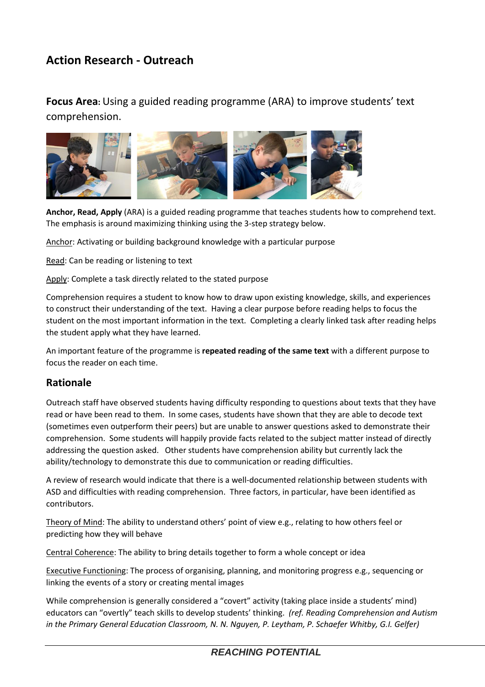# **Action Research - Outreach**

**Focus Area:** Using a guided reading programme (ARA) to improve students' text comprehension.



**Anchor, Read, Apply** (ARA) is a guided reading programme that teaches students how to comprehend text. The emphasis is around maximizing thinking using the 3-step strategy below.

Anchor: Activating or building background knowledge with a particular purpose

Read: Can be reading or listening to text

Apply: Complete a task directly related to the stated purpose

Comprehension requires a student to know how to draw upon existing knowledge, skills, and experiences to construct their understanding of the text. Having a clear purpose before reading helps to focus the student on the most important information in the text. Completing a clearly linked task after reading helps the student apply what they have learned.

An important feature of the programme is **repeated reading of the same text** with a different purpose to focus the reader on each time.

#### **Rationale**

Outreach staff have observed students having difficulty responding to questions about texts that they have read or have been read to them. In some cases, students have shown that they are able to decode text (sometimes even outperform their peers) but are unable to answer questions asked to demonstrate their comprehension. Some students will happily provide facts related to the subject matter instead of directly addressing the question asked. Other students have comprehension ability but currently lack the ability/technology to demonstrate this due to communication or reading difficulties.

A review of research would indicate that there is a well-documented relationship between students with ASD and difficulties with reading comprehension. Three factors, in particular, have been identified as contributors.

Theory of Mind: The ability to understand others' point of view e.g., relating to how others feel or predicting how they will behave

Central Coherence: The ability to bring details together to form a whole concept or idea

Executive Functioning: The process of organising, planning, and monitoring progress e.g., sequencing or linking the events of a story or creating mental images

While comprehension is generally considered a "covert" activity (taking place inside a students' mind) educators can "overtly" teach skills to develop students' thinking. *(ref. Reading Comprehension and Autism in the Primary General Education Classroom, N. N. Nguyen, P. Leytham, P. Schaefer Whitby, G.I. Gelfer)*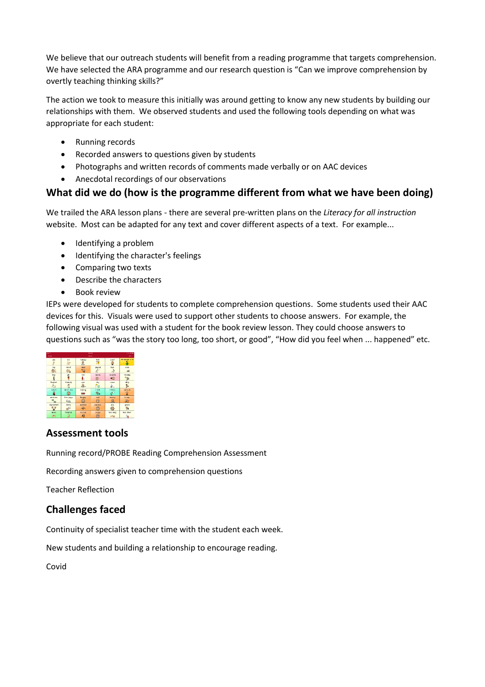We believe that our outreach students will benefit from a reading programme that targets comprehension. We have selected the ARA programme and our research question is "Can we improve comprehension by overtly teaching thinking skills?"

The action we took to measure this initially was around getting to know any new students by building our relationships with them. We observed students and used the following tools depending on what was appropriate for each student:

- Running records
- Recorded answers to questions given by students
- Photographs and written records of comments made verbally or on AAC devices
- Anecdotal recordings of our observations

## **What did we do (how is the programme different from what we have been doing)**

We trailed the ARA lesson plans - there are several pre-written plans on the *Literacy for all instruction*  website. Most can be adapted for any text and cover different aspects of a text. For example...

- Identifying a problem
- Identifying the character's feelings
- Comparing two texts
- Describe the characters
- Book review

IEPs were developed for students to complete comprehension questions. Some students used their AAC devices for this. Visuals were used to support other students to choose answers. For example, the following visual was used with a student for the book review lesson. They could choose answers to questions such as "was the story too long, too short, or good", "How did you feel when ... happened" etc.

| .<br>.<br>Dire<br>Home |                         |                             |                       | Meta               |                      |  |
|------------------------|-------------------------|-----------------------------|-----------------------|--------------------|----------------------|--|
| yas                    | no                      | <b>Ivanery</b><br>ů,        | 5.41<br>Π             | cuiet<br>٥         | de lessent with      |  |
| big<br>S.              | small<br>- 8            | tired<br>70                 | playful<br>$x -$      | tast               | <b>SiOW</b><br>- 53  |  |
| bay                    | girl                    | tal<br>г.                   | Indes<br>C-           | sounds<br>×З       | <b>SIMBORY</b><br>¥. |  |
| helpfal                | htancly                 | <b>WWS</b><br>$\frac{1}{2}$ | dry                   | clean<br>۸         | dirty<br>٩,          |  |
| like it                | don't like<br>ø         | anding<br><b>TEP</b>        | <b>I tell:</b><br>ę.  | <b>Litting</b>     | serious              |  |
| platures               | this page<br><b>COA</b> | happy                       | sad<br>$\circ$        | <b>horing</b><br>夏 | hanny<br>Øs.         |  |
| characters             | story                   | excitad<br>$\mathbf{a}$     | <b>VADE BECK</b><br>ê | sity<br>w          | good<br>۰,           |  |
| more<br>源形             | finished                | scargo                      | angry<br>œ            | too long           | tog short            |  |

## **Assessment tools**

Running record/PROBE Reading Comprehension Assessment

Recording answers given to comprehension questions

Teacher Reflection

## **Challenges faced**

Continuity of specialist teacher time with the student each week.

New students and building a relationship to encourage reading.

Covid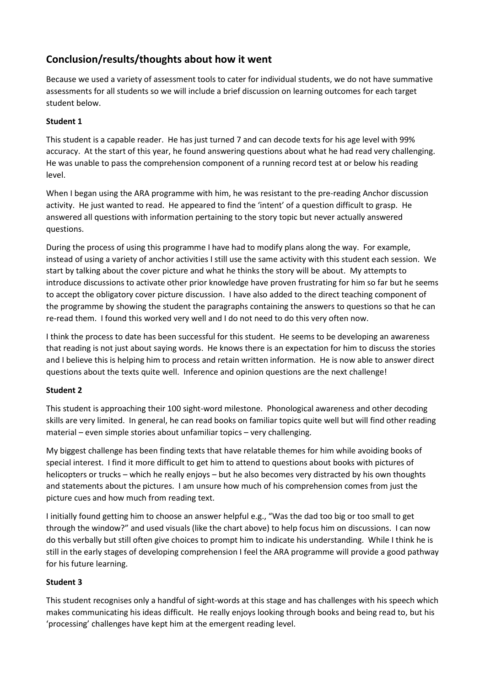# **Conclusion/results/thoughts about how it went**

Because we used a variety of assessment tools to cater for individual students, we do not have summative assessments for all students so we will include a brief discussion on learning outcomes for each target student below.

#### **Student 1**

This student is a capable reader. He has just turned 7 and can decode texts for his age level with 99% accuracy. At the start of this year, he found answering questions about what he had read very challenging. He was unable to pass the comprehension component of a running record test at or below his reading level.

When I began using the ARA programme with him, he was resistant to the pre-reading Anchor discussion activity. He just wanted to read. He appeared to find the 'intent' of a question difficult to grasp. He answered all questions with information pertaining to the story topic but never actually answered questions.

During the process of using this programme I have had to modify plans along the way. For example, instead of using a variety of anchor activities I still use the same activity with this student each session. We start by talking about the cover picture and what he thinks the story will be about. My attempts to introduce discussions to activate other prior knowledge have proven frustrating for him so far but he seems to accept the obligatory cover picture discussion. I have also added to the direct teaching component of the programme by showing the student the paragraphs containing the answers to questions so that he can re-read them. I found this worked very well and I do not need to do this very often now.

I think the process to date has been successful for this student. He seems to be developing an awareness that reading is not just about saying words. He knows there is an expectation for him to discuss the stories and I believe this is helping him to process and retain written information. He is now able to answer direct questions about the texts quite well. Inference and opinion questions are the next challenge!

#### **Student 2**

This student is approaching their 100 sight-word milestone. Phonological awareness and other decoding skills are very limited. In general, he can read books on familiar topics quite well but will find other reading material – even simple stories about unfamiliar topics – very challenging.

My biggest challenge has been finding texts that have relatable themes for him while avoiding books of special interest. I find it more difficult to get him to attend to questions about books with pictures of helicopters or trucks – which he really enjoys – but he also becomes very distracted by his own thoughts and statements about the pictures. I am unsure how much of his comprehension comes from just the picture cues and how much from reading text.

I initially found getting him to choose an answer helpful e.g., "Was the dad too big or too small to get through the window?" and used visuals (like the chart above) to help focus him on discussions. I can now do this verbally but still often give choices to prompt him to indicate his understanding. While I think he is still in the early stages of developing comprehension I feel the ARA programme will provide a good pathway for his future learning.

#### **Student 3**

This student recognises only a handful of sight-words at this stage and has challenges with his speech which makes communicating his ideas difficult. He really enjoys looking through books and being read to, but his 'processing' challenges have kept him at the emergent reading level.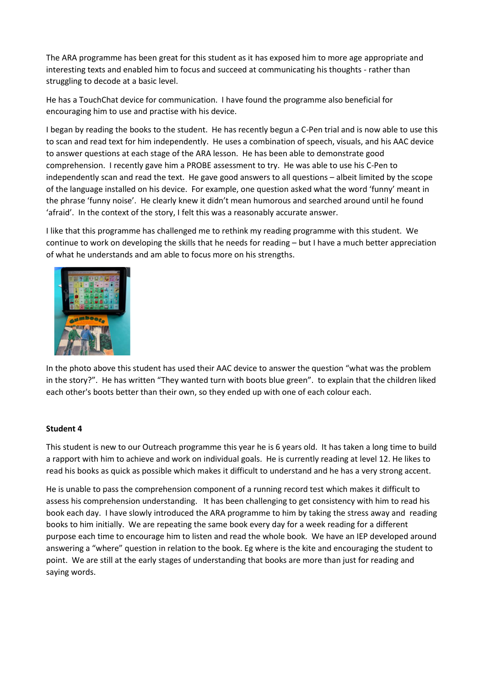The ARA programme has been great for this student as it has exposed him to more age appropriate and interesting texts and enabled him to focus and succeed at communicating his thoughts - rather than struggling to decode at a basic level.

He has a TouchChat device for communication. I have found the programme also beneficial for encouraging him to use and practise with his device.

I began by reading the books to the student. He has recently begun a C-Pen trial and is now able to use this to scan and read text for him independently. He uses a combination of speech, visuals, and his AAC device to answer questions at each stage of the ARA lesson. He has been able to demonstrate good comprehension. I recently gave him a PROBE assessment to try. He was able to use his C-Pen to independently scan and read the text. He gave good answers to all questions – albeit limited by the scope of the language installed on his device. For example, one question asked what the word 'funny' meant in the phrase 'funny noise'. He clearly knew it didn't mean humorous and searched around until he found 'afraid'. In the context of the story, I felt this was a reasonably accurate answer.

I like that this programme has challenged me to rethink my reading programme with this student. We continue to work on developing the skills that he needs for reading – but I have a much better appreciation of what he understands and am able to focus more on his strengths.



In the photo above this student has used their AAC device to answer the question "what was the problem in the story?". He has written "They wanted turn with boots blue green". to explain that the children liked each other's boots better than their own, so they ended up with one of each colour each.

#### **Student 4**

This student is new to our Outreach programme this year he is 6 years old. It has taken a long time to build a rapport with him to achieve and work on individual goals. He is currently reading at level 12. He likes to read his books as quick as possible which makes it difficult to understand and he has a very strong accent.

He is unable to pass the comprehension component of a running record test which makes it difficult to assess his comprehension understanding. It has been challenging to get consistency with him to read his book each day. I have slowly introduced the ARA programme to him by taking the stress away and reading books to him initially. We are repeating the same book every day for a week reading for a different purpose each time to encourage him to listen and read the whole book. We have an IEP developed around answering a "where" question in relation to the book. Eg where is the kite and encouraging the student to point. We are still at the early stages of understanding that books are more than just for reading and saying words.